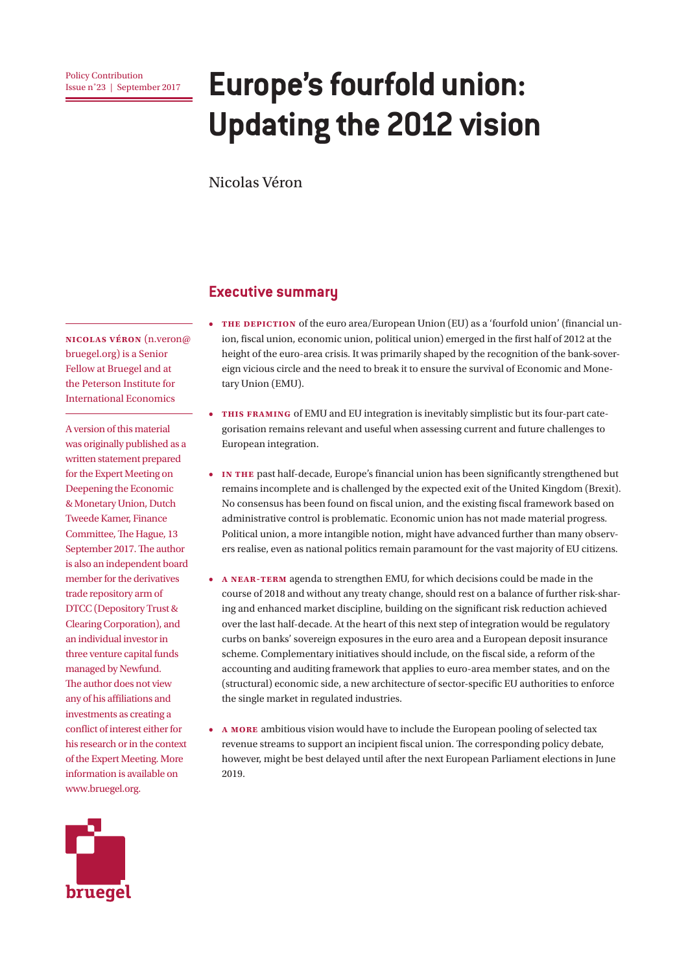# **EUROPE'S fourfold union: Europe's fourfold union: Updating the 2012 vision**

Nicolas Véron

### **Executive summary**

• **THE DEPICTION** of the euro area/European Union (EU) as a 'fourfold union' (financial union, fiscal union, economic union, political union) emerged in the first half of 2012 at the height of the euro-area crisis. It was primarily shaped by the recognition of the bank-sovereign vicious circle and the need to break it to ensure the survival of Economic and Monetary Union (EMU).

- **• This framing** of EMU and EU integration is inevitably simplistic but its four-part categorisation remains relevant and useful when assessing current and future challenges to European integration.
- **• In the** past half-decade, Europe's financial union has been significantly strengthened but remains incomplete and is challenged by the expected exit of the United Kingdom (Brexit). No consensus has been found on fiscal union, and the existing fiscal framework based on administrative control is problematic. Economic union has not made material progress. Political union, a more intangible notion, might have advanced further than many observers realise, even as national politics remain paramount for the vast majority of EU citizens.
- **• A near-term** agenda to strengthen EMU, for which decisions could be made in the course of 2018 and without any treaty change, should rest on a balance of further risk-sharing and enhanced market discipline, building on the significant risk reduction achieved over the last half-decade. At the heart of this next step of integration would be regulatory curbs on banks' sovereign exposures in the euro area and a European deposit insurance scheme. Complementary initiatives should include, on the fiscal side, a reform of the accounting and auditing framework that applies to euro-area member states, and on the (structural) economic side, a new architecture of sector-specific EU authorities to enforce the single market in regulated industries.
- **• A more** ambitious vision would have to include the European pooling of selected tax revenue streams to support an incipient fiscal union. The corresponding policy debate, however, might be best delayed until after the next European Parliament elections in June 2019.

**Nicolas Véron** (n.veron@ bruegel.org) is a Senior Fellow at Bruegel and at the Peterson Institute for International Economics

A version of this material was originally published as a written statement prepared for the Expert Meeting on Deepening the Economic & Monetary Union, Dutch Tweede Kamer, Finance Committee, The Hague, 13 September 2017. The author is also an independent board member for the derivatives trade repository arm of DTCC (Depository Trust & Clearing Corporation), and an individual investor in three venture capital funds managed by Newfund. The author does not view any of his affiliations and investments as creating a conflict of interest either for his research or in the context of the Expert Meeting. More information is available on www.bruegel.org.

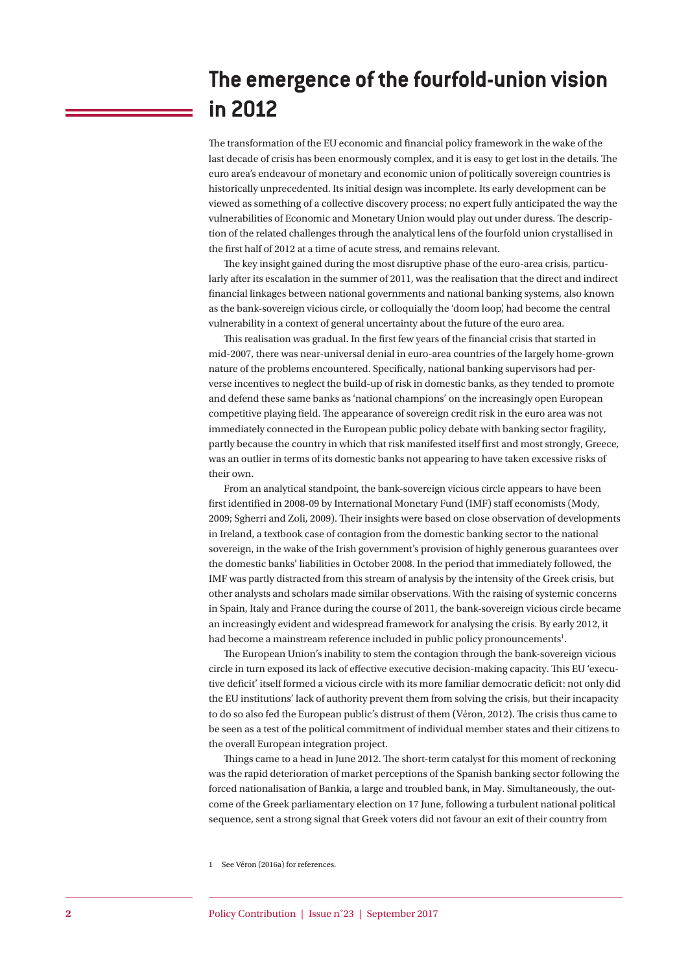### **The emergence of the fourfold-union vision in 2012**

The transformation of the EU economic and financial policy framework in the wake of the last decade of crisis has been enormously complex, and it is easy to get lost in the details. The euro area's endeavour of monetary and economic union of politically sovereign countries is historically unprecedented. Its initial design was incomplete. Its early development can be viewed as something of a collective discovery process; no expert fully anticipated the way the vulnerabilities of Economic and Monetary Union would play out under duress. The description of the related challenges through the analytical lens of the fourfold union crystallised in the first half of 2012 at a time of acute stress, and remains relevant.

The key insight gained during the most disruptive phase of the euro-area crisis, particularly after its escalation in the summer of 2011, was the realisation that the direct and indirect financial linkages between national governments and national banking systems, also known as the bank-sovereign vicious circle, or colloquially the 'doom loop', had become the central vulnerability in a context of general uncertainty about the future of the euro area.

This realisation was gradual. In the first few years of the financial crisis that started in mid-2007, there was near-universal denial in euro-area countries of the largely home-grown nature of the problems encountered. Specifically, national banking supervisors had perverse incentives to neglect the build-up of risk in domestic banks, as they tended to promote and defend these same banks as 'national champions' on the increasingly open European competitive playing field. The appearance of sovereign credit risk in the euro area was not immediately connected in the European public policy debate with banking sector fragility, partly because the country in which that risk manifested itself first and most strongly, Greece, was an outlier in terms of its domestic banks not appearing to have taken excessive risks of their own.

From an analytical standpoint, the bank-sovereign vicious circle appears to have been first identified in 2008-09 by International Monetary Fund (IMF) staff economists (Mody, 2009; Sgherri and Zoli, 2009). Their insights were based on close observation of developments in Ireland, a textbook case of contagion from the domestic banking sector to the national sovereign, in the wake of the Irish government's provision of highly generous guarantees over the domestic banks' liabilities in October 2008. In the period that immediately followed, the IMF was partly distracted from this stream of analysis by the intensity of the Greek crisis, but other analysts and scholars made similar observations. With the raising of systemic concerns in Spain, Italy and France during the course of 2011, the bank-sovereign vicious circle became an increasingly evident and widespread framework for analysing the crisis. By early 2012, it had become a mainstream reference included in public policy pronouncements<sup>1</sup>.

The European Union's inability to stem the contagion through the bank-sovereign vicious circle in turn exposed its lack of effective executive decision-making capacity. This EU 'executive deficit' itself formed a vicious circle with its more familiar democratic deficit: not only did the EU institutions' lack of authority prevent them from solving the crisis, but their incapacity to do so also fed the European public's distrust of them (Véron, 2012). The crisis thus came to be seen as a test of the political commitment of individual member states and their citizens to the overall European integration project.

Things came to a head in June 2012. The short-term catalyst for this moment of reckoning was the rapid deterioration of market perceptions of the Spanish banking sector following the forced nationalisation of Bankia, a large and troubled bank, in May. Simultaneously, the outcome of the Greek parliamentary election on 17 June, following a turbulent national political sequence, sent a strong signal that Greek voters did not favour an exit of their country from

<sup>1</sup> See Véron (2016a) for references.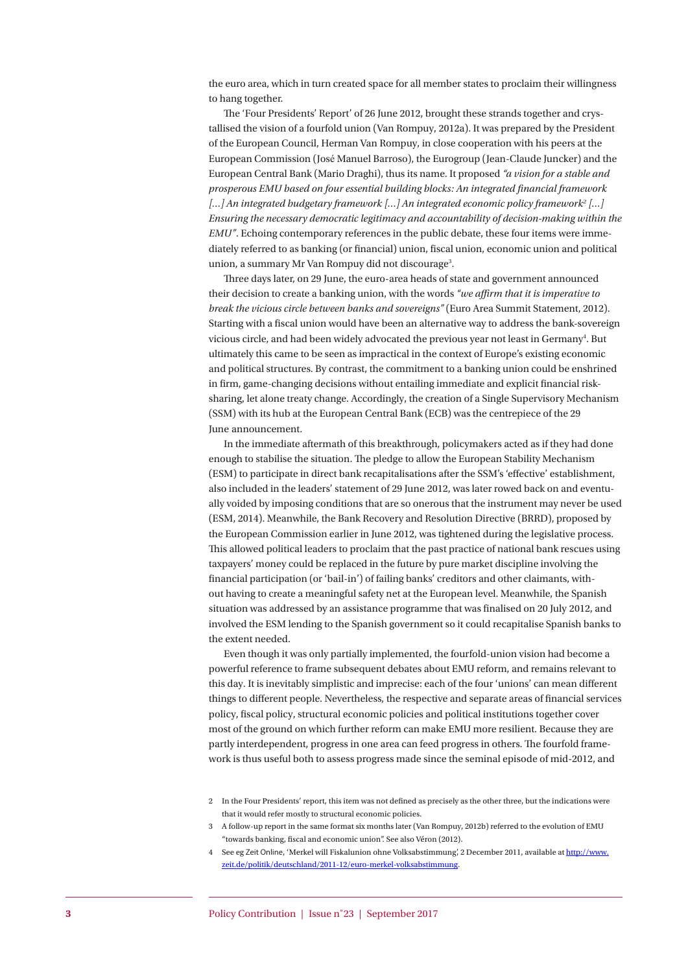the euro area, which in turn created space for all member states to proclaim their willingness to hang together.

The 'Four Presidents' Report' of 26 June 2012, brought these strands together and crystallised the vision of a fourfold union (Van Rompuy, 2012a). It was prepared by the President of the European Council, Herman Van Rompuy, in close cooperation with his peers at the European Commission (José Manuel Barroso), the Eurogroup (Jean-Claude Juncker) and the European Central Bank (Mario Draghi), thus its name. It proposed *"a vision for a stable and prosperous EMU based on four essential building blocks: An integrated financial framework […] An integrated budgetary framework […] An integrated economic policy framework2 […] Ensuring the necessary democratic legitimacy and accountability of decision-making within the EMU"*. Echoing contemporary references in the public debate, these four items were immediately referred to as banking (or financial) union, fiscal union, economic union and political union, a summary Mr Van Rompuy did not discourage<sup>3</sup>.

Three days later, on 29 June, the euro-area heads of state and government announced their decision to create a banking union, with the words *"we affirm that it is imperative to break the vicious circle between banks and sovereigns"* (Euro Area Summit Statement, 2012). Starting with a fiscal union would have been an alternative way to address the bank-sovereign vicious circle, and had been widely advocated the previous year not least in Germany<sup>4</sup>. But ultimately this came to be seen as impractical in the context of Europe's existing economic and political structures. By contrast, the commitment to a banking union could be enshrined in firm, game-changing decisions without entailing immediate and explicit financial risksharing, let alone treaty change. Accordingly, the creation of a Single Supervisory Mechanism (SSM) with its hub at the European Central Bank (ECB) was the centrepiece of the 29 June announcement.

In the immediate aftermath of this breakthrough, policymakers acted as if they had done enough to stabilise the situation. The pledge to allow the European Stability Mechanism (ESM) to participate in direct bank recapitalisations after the SSM's 'effective' establishment, also included in the leaders' statement of 29 June 2012, was later rowed back on and eventually voided by imposing conditions that are so onerous that the instrument may never be used (ESM, 2014). Meanwhile, the Bank Recovery and Resolution Directive (BRRD), proposed by the European Commission earlier in June 2012, was tightened during the legislative process. This allowed political leaders to proclaim that the past practice of national bank rescues using taxpayers' money could be replaced in the future by pure market discipline involving the financial participation (or 'bail-in') of failing banks' creditors and other claimants, without having to create a meaningful safety net at the European level. Meanwhile, the Spanish situation was addressed by an assistance programme that was finalised on 20 July 2012, and involved the ESM lending to the Spanish government so it could recapitalise Spanish banks to the extent needed.

Even though it was only partially implemented, the fourfold-union vision had become a powerful reference to frame subsequent debates about EMU reform, and remains relevant to this day. It is inevitably simplistic and imprecise: each of the four 'unions' can mean different things to different people. Nevertheless, the respective and separate areas of financial services policy, fiscal policy, structural economic policies and political institutions together cover most of the ground on which further reform can make EMU more resilient. Because they are partly interdependent, progress in one area can feed progress in others. The fourfold framework is thus useful both to assess progress made since the seminal episode of mid-2012, and

4 See eg Zeit Online, 'Merkel will Fiskalunion ohne Volksabstimmung', 2 December 2011, available at [http://www.](http://www.zeit.de/politik/deutschland/2011-12/euro-merkel-volksabstimmung) [zeit.de/politik/deutschland/2011-12/euro-merkel-volksabstimmung](http://www.zeit.de/politik/deutschland/2011-12/euro-merkel-volksabstimmung).

<sup>2</sup> In the Four Presidents' report, this item was not defined as precisely as the other three, but the indications were that it would refer mostly to structural economic policies.

<sup>3</sup> A follow-up report in the same format six months later (Van Rompuy, 2012b) referred to the evolution of EMU "towards banking, fiscal and economic union". See also Véron (2012).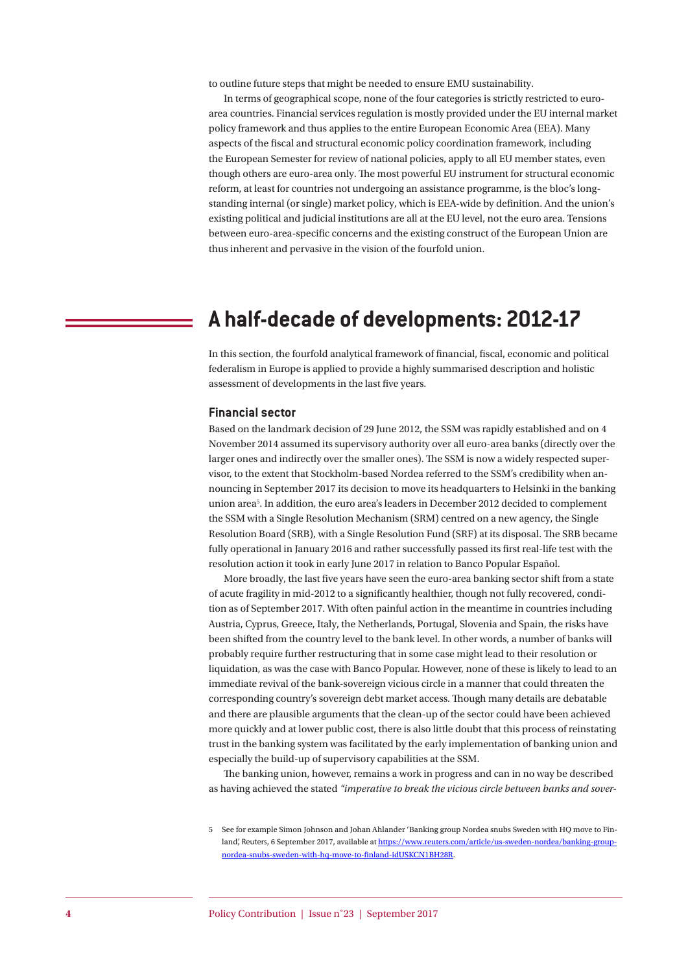to outline future steps that might be needed to ensure EMU sustainability.

In terms of geographical scope, none of the four categories is strictly restricted to euroarea countries. Financial services regulation is mostly provided under the EU internal market policy framework and thus applies to the entire European Economic Area (EEA). Many aspects of the fiscal and structural economic policy coordination framework, including the European Semester for review of national policies, apply to all EU member states, even though others are euro-area only. The most powerful EU instrument for structural economic reform, at least for countries not undergoing an assistance programme, is the bloc's longstanding internal (or single) market policy, which is EEA-wide by definition. And the union's existing political and judicial institutions are all at the EU level, not the euro area. Tensions between euro-area-specific concerns and the existing construct of the European Union are thus inherent and pervasive in the vision of the fourfold union.

### **A half-decade of developments: 2012-17**

In this section, the fourfold analytical framework of financial, fiscal, economic and political federalism in Europe is applied to provide a highly summarised description and holistic assessment of developments in the last five years.

#### **Financial sector**

Based on the landmark decision of 29 June 2012, the SSM was rapidly established and on 4 November 2014 assumed its supervisory authority over all euro-area banks (directly over the larger ones and indirectly over the smaller ones). The SSM is now a widely respected supervisor, to the extent that Stockholm-based Nordea referred to the SSM's credibility when announcing in September 2017 its decision to move its headquarters to Helsinki in the banking union area5 . In addition, the euro area's leaders in December 2012 decided to complement the SSM with a Single Resolution Mechanism (SRM) centred on a new agency, the Single Resolution Board (SRB), with a Single Resolution Fund (SRF) at its disposal. The SRB became fully operational in January 2016 and rather successfully passed its first real-life test with the resolution action it took in early June 2017 in relation to Banco Popular Español.

More broadly, the last five years have seen the euro-area banking sector shift from a state of acute fragility in mid-2012 to a significantly healthier, though not fully recovered, condition as of September 2017. With often painful action in the meantime in countries including Austria, Cyprus, Greece, Italy, the Netherlands, Portugal, Slovenia and Spain, the risks have been shifted from the country level to the bank level. In other words, a number of banks will probably require further restructuring that in some case might lead to their resolution or liquidation, as was the case with Banco Popular. However, none of these is likely to lead to an immediate revival of the bank-sovereign vicious circle in a manner that could threaten the corresponding country's sovereign debt market access. Though many details are debatable and there are plausible arguments that the clean-up of the sector could have been achieved more quickly and at lower public cost, there is also little doubt that this process of reinstating trust in the banking system was facilitated by the early implementation of banking union and especially the build-up of supervisory capabilities at the SSM.

The banking union, however, remains a work in progress and can in no way be described as having achieved the stated *"imperative to break the vicious circle between banks and sover-*

<sup>5</sup> See for example Simon Johnson and Johan Ahlander 'Banking group Nordea snubs Sweden with HQ move to Finland', Reuters, 6 September 2017, available at [https://www.reuters.com/article/us-sweden-nordea/banking-group](https://www.reuters.com/article/us-sweden-nordea/banking-group-nordea-snubs-sweden-with-hq-move-to-finland-idUSKCN1BH28R)[nordea-snubs-sweden-with-hq-move-to-finland-idUSKCN1BH28R](https://www.reuters.com/article/us-sweden-nordea/banking-group-nordea-snubs-sweden-with-hq-move-to-finland-idUSKCN1BH28R).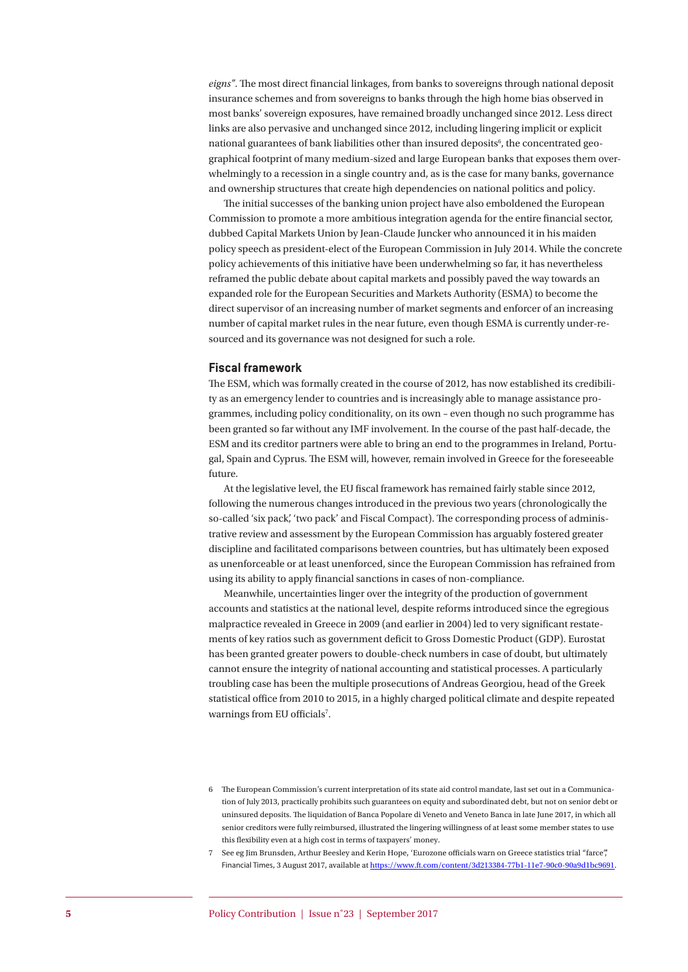*eigns"*. The most direct financial linkages, from banks to sovereigns through national deposit insurance schemes and from sovereigns to banks through the high home bias observed in most banks' sovereign exposures, have remained broadly unchanged since 2012. Less direct links are also pervasive and unchanged since 2012, including lingering implicit or explicit national guarantees of bank liabilities other than insured deposits<sup>6</sup>, the concentrated geographical footprint of many medium-sized and large European banks that exposes them overwhelmingly to a recession in a single country and, as is the case for many banks, governance and ownership structures that create high dependencies on national politics and policy.

The initial successes of the banking union project have also emboldened the European Commission to promote a more ambitious integration agenda for the entire financial sector, dubbed Capital Markets Union by Jean-Claude Juncker who announced it in his maiden policy speech as president-elect of the European Commission in July 2014. While the concrete policy achievements of this initiative have been underwhelming so far, it has nevertheless reframed the public debate about capital markets and possibly paved the way towards an expanded role for the European Securities and Markets Authority (ESMA) to become the direct supervisor of an increasing number of market segments and enforcer of an increasing number of capital market rules in the near future, even though ESMA is currently under-resourced and its governance was not designed for such a role.

#### **Fiscal framework**

The ESM, which was formally created in the course of 2012, has now established its credibility as an emergency lender to countries and is increasingly able to manage assistance programmes, including policy conditionality, on its own – even though no such programme has been granted so far without any IMF involvement. In the course of the past half-decade, the ESM and its creditor partners were able to bring an end to the programmes in Ireland, Portugal, Spain and Cyprus. The ESM will, however, remain involved in Greece for the foreseeable future.

At the legislative level, the EU fiscal framework has remained fairly stable since 2012, following the numerous changes introduced in the previous two years (chronologically the so-called 'six pack', 'two pack' and Fiscal Compact). The corresponding process of administrative review and assessment by the European Commission has arguably fostered greater discipline and facilitated comparisons between countries, but has ultimately been exposed as unenforceable or at least unenforced, since the European Commission has refrained from using its ability to apply financial sanctions in cases of non-compliance.

Meanwhile, uncertainties linger over the integrity of the production of government accounts and statistics at the national level, despite reforms introduced since the egregious malpractice revealed in Greece in 2009 (and earlier in 2004) led to very significant restatements of key ratios such as government deficit to Gross Domestic Product (GDP). Eurostat has been granted greater powers to double-check numbers in case of doubt, but ultimately cannot ensure the integrity of national accounting and statistical processes. A particularly troubling case has been the multiple prosecutions of Andreas Georgiou, head of the Greek statistical office from 2010 to 2015, in a highly charged political climate and despite repeated warnings from EU officials<sup>7</sup>.

<sup>6</sup> The European Commission's current interpretation of its state aid control mandate, last set out in a Communication of July 2013, practically prohibits such guarantees on equity and subordinated debt, but not on senior debt or uninsured deposits. The liquidation of Banca Popolare di Veneto and Veneto Banca in late June 2017, in which all senior creditors were fully reimbursed, illustrated the lingering willingness of at least some member states to use this flexibility even at a high cost in terms of taxpayers' money.

<sup>7</sup> See eg Jim Brunsden, Arthur Beesley and Kerin Hope, 'Eurozone officials warn on Greece statistics trial "farce",' Financial Times, 3 August 2017, available at <https://www.ft.com/content/3d213384-77b1-11e7-90c0-90a9d1bc9691>.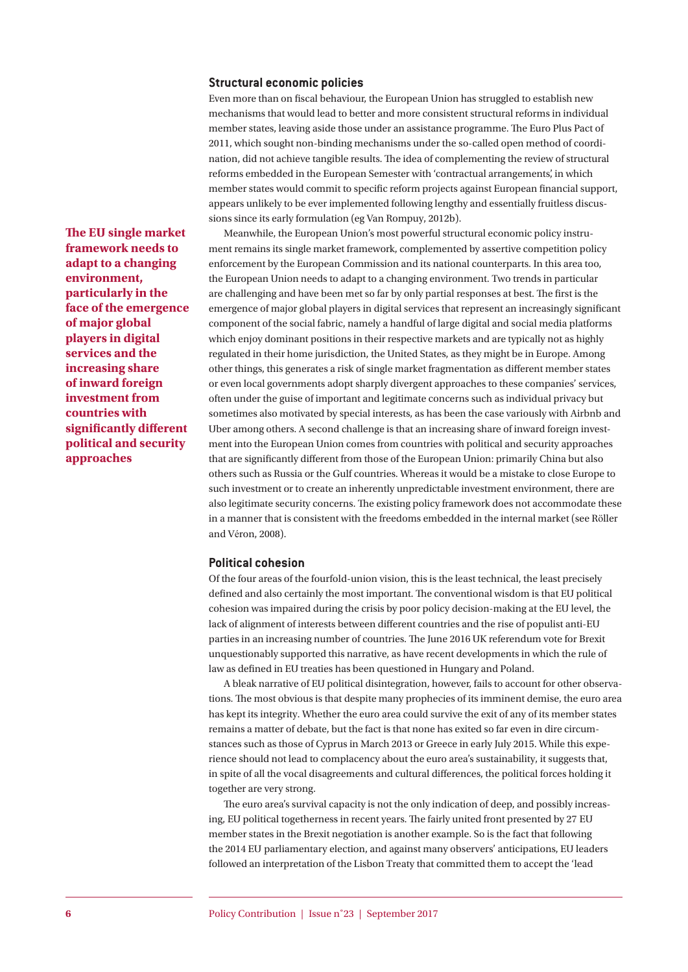#### **Structural economic policies**

Even more than on fiscal behaviour, the European Union has struggled to establish new mechanisms that would lead to better and more consistent structural reforms in individual member states, leaving aside those under an assistance programme. The Euro Plus Pact of 2011, which sought non-binding mechanisms under the so-called open method of coordination, did not achieve tangible results. The idea of complementing the review of structural reforms embedded in the European Semester with 'contractual arrangements', in which member states would commit to specific reform projects against European financial support, appears unlikely to be ever implemented following lengthy and essentially fruitless discussions since its early formulation (eg Van Rompuy, 2012b).

Meanwhile, the European Union's most powerful structural economic policy instrument remains its single market framework, complemented by assertive competition policy enforcement by the European Commission and its national counterparts. In this area too, the European Union needs to adapt to a changing environment. Two trends in particular are challenging and have been met so far by only partial responses at best. The first is the emergence of major global players in digital services that represent an increasingly significant component of the social fabric, namely a handful of large digital and social media platforms which enjoy dominant positions in their respective markets and are typically not as highly regulated in their home jurisdiction, the United States, as they might be in Europe. Among other things, this generates a risk of single market fragmentation as different member states or even local governments adopt sharply divergent approaches to these companies' services, often under the guise of important and legitimate concerns such as individual privacy but sometimes also motivated by special interests, as has been the case variously with Airbnb and Uber among others. A second challenge is that an increasing share of inward foreign investment into the European Union comes from countries with political and security approaches that are significantly different from those of the European Union: primarily China but also others such as Russia or the Gulf countries. Whereas it would be a mistake to close Europe to such investment or to create an inherently unpredictable investment environment, there are also legitimate security concerns. The existing policy framework does not accommodate these in a manner that is consistent with the freedoms embedded in the internal market (see Röller and Véron, 2008).

#### **Political cohesion**

Of the four areas of the fourfold-union vision, this is the least technical, the least precisely defined and also certainly the most important. The conventional wisdom is that EU political cohesion was impaired during the crisis by poor policy decision-making at the EU level, the lack of alignment of interests between different countries and the rise of populist anti-EU parties in an increasing number of countries. The June 2016 UK referendum vote for Brexit unquestionably supported this narrative, as have recent developments in which the rule of law as defined in EU treaties has been questioned in Hungary and Poland.

A bleak narrative of EU political disintegration, however, fails to account for other observations. The most obvious is that despite many prophecies of its imminent demise, the euro area has kept its integrity. Whether the euro area could survive the exit of any of its member states remains a matter of debate, but the fact is that none has exited so far even in dire circumstances such as those of Cyprus in March 2013 or Greece in early July 2015. While this experience should not lead to complacency about the euro area's sustainability, it suggests that, in spite of all the vocal disagreements and cultural differences, the political forces holding it together are very strong.

The euro area's survival capacity is not the only indication of deep, and possibly increasing, EU political togetherness in recent years. The fairly united front presented by 27 EU member states in the Brexit negotiation is another example. So is the fact that following the 2014 EU parliamentary election, and against many observers' anticipations, EU leaders followed an interpretation of the Lisbon Treaty that committed them to accept the 'lead

**The EU single market framework needs to adapt to a changing environment, particularly in the face of the emergence of major global players in digital services and the increasing share of inward foreign investment from countries with significantly different political and security approaches**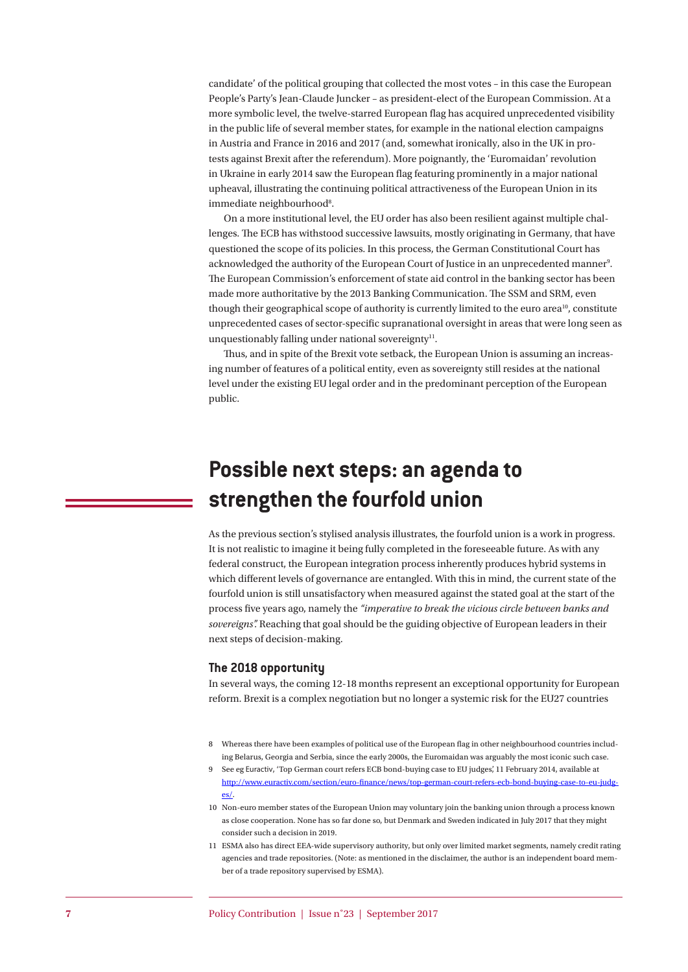candidate' of the political grouping that collected the most votes – in this case the European People's Party's Jean-Claude Juncker – as president-elect of the European Commission. At a more symbolic level, the twelve-starred European flag has acquired unprecedented visibility in the public life of several member states, for example in the national election campaigns in Austria and France in 2016 and 2017 (and, somewhat ironically, also in the UK in protests against Brexit after the referendum). More poignantly, the 'Euromaidan' revolution in Ukraine in early 2014 saw the European flag featuring prominently in a major national upheaval, illustrating the continuing political attractiveness of the European Union in its immediate neighbourhood<sup>8</sup>.

On a more institutional level, the EU order has also been resilient against multiple challenges. The ECB has withstood successive lawsuits, mostly originating in Germany, that have questioned the scope of its policies. In this process, the German Constitutional Court has acknowledged the authority of the European Court of Justice in an unprecedented manner<sup>9</sup>. The European Commission's enforcement of state aid control in the banking sector has been made more authoritative by the 2013 Banking Communication. The SSM and SRM, even though their geographical scope of authority is currently limited to the euro area<sup>10</sup>, constitute unprecedented cases of sector-specific supranational oversight in areas that were long seen as unquestionably falling under national sovereignty $11$ .

Thus, and in spite of the Brexit vote setback, the European Union is assuming an increasing number of features of a political entity, even as sovereignty still resides at the national level under the existing EU legal order and in the predominant perception of the European public.

## **Possible next steps: an agenda to strengthen the fourfold union**

As the previous section's stylised analysis illustrates, the fourfold union is a work in progress. It is not realistic to imagine it being fully completed in the foreseeable future. As with any federal construct, the European integration process inherently produces hybrid systems in which different levels of governance are entangled. With this in mind, the current state of the fourfold union is still unsatisfactory when measured against the stated goal at the start of the process five years ago, namely the *"imperative to break the vicious circle between banks and sovereigns".* Reaching that goal should be the guiding objective of European leaders in their next steps of decision-making.

#### **The 2018 opportunity**

In several ways, the coming 12-18 months represent an exceptional opportunity for European reform. Brexit is a complex negotiation but no longer a systemic risk for the EU27 countries

- 8 Whereas there have been examples of political use of the European flag in other neighbourhood countries including Belarus, Georgia and Serbia, since the early 2000s, the Euromaidan was arguably the most iconic such case.
- 9 See eg Euractiv, 'Top German court refers ECB bond-buying case to EU judges', 11 February 2014, available at [http://www.euractiv.com/section/euro-finance/news/top-german-court-refers-ecb-bond-buying-case-to-eu-judg](http://www.euractiv.com/section/euro-finance/news/top-german-court-refers-ecb-bond-buying-case-to-eu-judges/)[es/](http://www.euractiv.com/section/euro-finance/news/top-german-court-refers-ecb-bond-buying-case-to-eu-judges/).
- 10 Non-euro member states of the European Union may voluntary join the banking union through a process known as close cooperation. None has so far done so, but Denmark and Sweden indicated in July 2017 that they might consider such a decision in 2019.
- 11 ESMA also has direct EEA-wide supervisory authority, but only over limited market segments, namely credit rating agencies and trade repositories. (Note: as mentioned in the disclaimer, the author is an independent board member of a trade repository supervised by ESMA).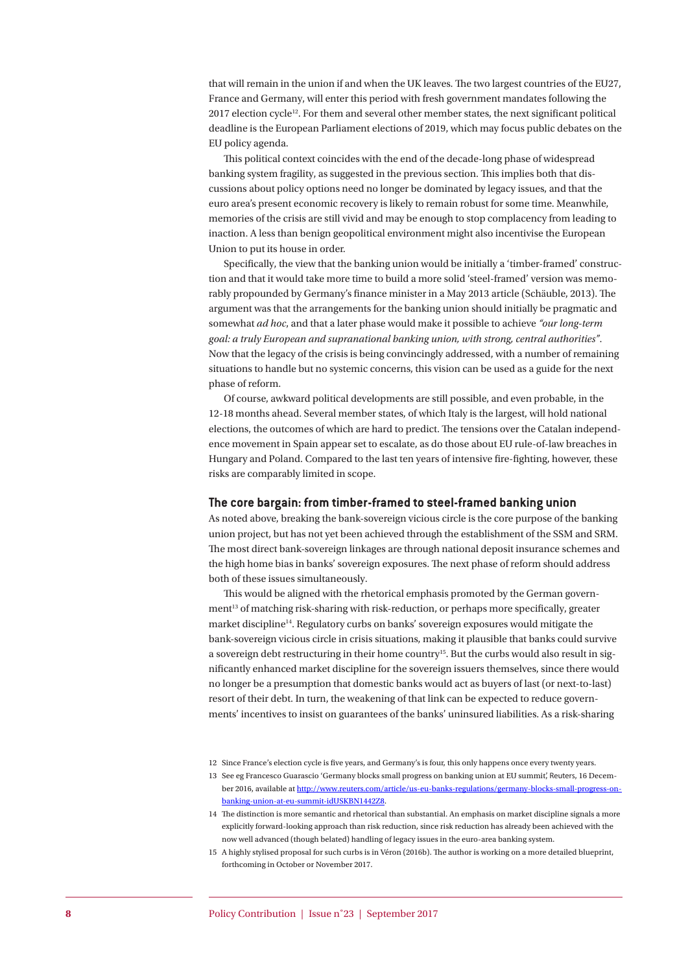that will remain in the union if and when the UK leaves. The two largest countries of the EU27, France and Germany, will enter this period with fresh government mandates following the  $2017$  election cycle<sup>12</sup>. For them and several other member states, the next significant political deadline is the European Parliament elections of 2019, which may focus public debates on the EU policy agenda.

This political context coincides with the end of the decade-long phase of widespread banking system fragility, as suggested in the previous section. This implies both that discussions about policy options need no longer be dominated by legacy issues, and that the euro area's present economic recovery is likely to remain robust for some time. Meanwhile, memories of the crisis are still vivid and may be enough to stop complacency from leading to inaction. A less than benign geopolitical environment might also incentivise the European Union to put its house in order.

Specifically, the view that the banking union would be initially a 'timber-framed' construction and that it would take more time to build a more solid 'steel-framed' version was memorably propounded by Germany's finance minister in a May 2013 article (Schäuble, 2013). The argument was that the arrangements for the banking union should initially be pragmatic and somewhat *ad hoc*, and that a later phase would make it possible to achieve *"our long-term goal: a truly European and supranational banking union, with strong, central authorities"*. Now that the legacy of the crisis is being convincingly addressed, with a number of remaining situations to handle but no systemic concerns, this vision can be used as a guide for the next phase of reform.

Of course, awkward political developments are still possible, and even probable, in the 12-18 months ahead. Several member states, of which Italy is the largest, will hold national elections, the outcomes of which are hard to predict. The tensions over the Catalan independence movement in Spain appear set to escalate, as do those about EU rule-of-law breaches in Hungary and Poland. Compared to the last ten years of intensive fire-fighting, however, these risks are comparably limited in scope.

#### **The core bargain: from timber-framed to steel-framed banking union**

As noted above, breaking the bank-sovereign vicious circle is the core purpose of the banking union project, but has not yet been achieved through the establishment of the SSM and SRM. The most direct bank-sovereign linkages are through national deposit insurance schemes and the high home bias in banks' sovereign exposures. The next phase of reform should address both of these issues simultaneously.

This would be aligned with the rhetorical emphasis promoted by the German government<sup>13</sup> of matching risk-sharing with risk-reduction, or perhaps more specifically, greater market discipline<sup>14</sup>. Regulatory curbs on banks' sovereign exposures would mitigate the bank-sovereign vicious circle in crisis situations, making it plausible that banks could survive a sovereign debt restructuring in their home country<sup>15</sup>. But the curbs would also result in significantly enhanced market discipline for the sovereign issuers themselves, since there would no longer be a presumption that domestic banks would act as buyers of last (or next-to-last) resort of their debt. In turn, the weakening of that link can be expected to reduce governments' incentives to insist on guarantees of the banks' uninsured liabilities. As a risk-sharing

<sup>12</sup> Since France's election cycle is five years, and Germany's is four, this only happens once every twenty years.

<sup>13</sup> See eg Francesco Guarascio 'Germany blocks small progress on banking union at EU summit', Reuters, 16 December 2016, available at [http://www.reuters.com/article/us-eu-banks-regulations/germany-blocks-small-progress-on](http://www.reuters.com/article/us-eu-banks-regulations/germany-blocks-small-progress-on-banking-union-at-eu-summit-idUSKBN1442Z8)[banking-union-at-eu-summit-idUSKBN1442Z8](http://www.reuters.com/article/us-eu-banks-regulations/germany-blocks-small-progress-on-banking-union-at-eu-summit-idUSKBN1442Z8).

<sup>14</sup> The distinction is more semantic and rhetorical than substantial. An emphasis on market discipline signals a more explicitly forward-looking approach than risk reduction, since risk reduction has already been achieved with the now well advanced (though belated) handling of legacy issues in the euro-area banking system.

<sup>15</sup> A highly stylised proposal for such curbs is in Véron (2016b). The author is working on a more detailed blueprint, forthcoming in October or November 2017.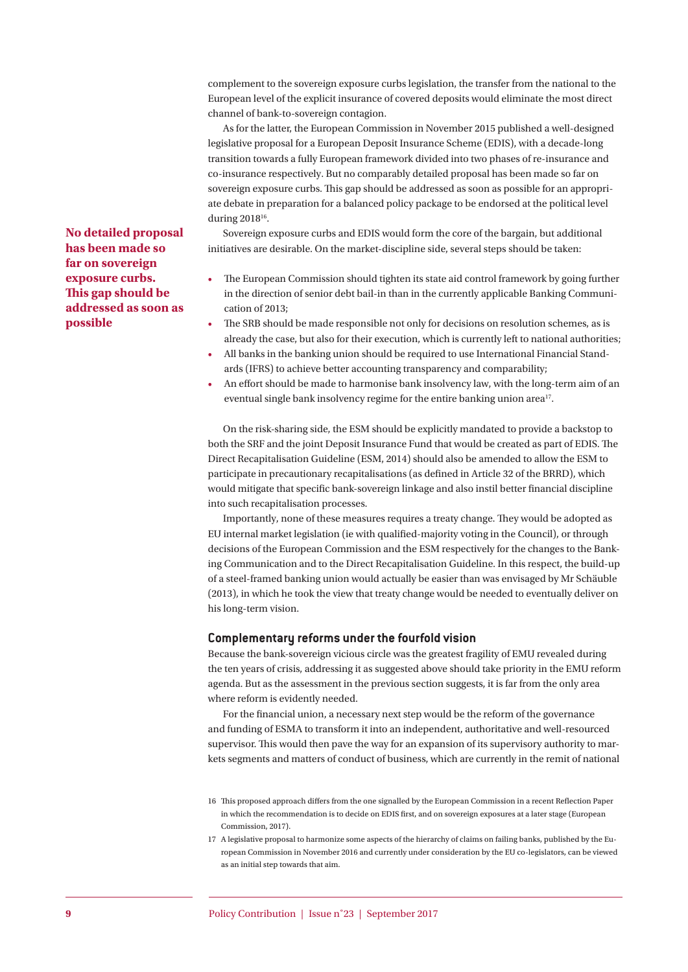complement to the sovereign exposure curbs legislation, the transfer from the national to the European level of the explicit insurance of covered deposits would eliminate the most direct channel of bank-to-sovereign contagion.

As for the latter, the European Commission in November 2015 published a well-designed legislative proposal for a European Deposit Insurance Scheme (EDIS), with a decade-long transition towards a fully European framework divided into two phases of re-insurance and co-insurance respectively. But no comparably detailed proposal has been made so far on sovereign exposure curbs. This gap should be addressed as soon as possible for an appropriate debate in preparation for a balanced policy package to be endorsed at the political level during 2018<sup>16</sup>.

Sovereign exposure curbs and EDIS would form the core of the bargain, but additional initiatives are desirable. On the market-discipline side, several steps should be taken:

- The European Commission should tighten its state aid control framework by going further in the direction of senior debt bail-in than in the currently applicable Banking Communication of 2013;
- The SRB should be made responsible not only for decisions on resolution schemes, as is already the case, but also for their execution, which is currently left to national authorities;
- All banks in the banking union should be required to use International Financial Standards (IFRS) to achieve better accounting transparency and comparability;
- An effort should be made to harmonise bank insolvency law, with the long-term aim of an eventual single bank insolvency regime for the entire banking union area<sup>17</sup>.

On the risk-sharing side, the ESM should be explicitly mandated to provide a backstop to both the SRF and the joint Deposit Insurance Fund that would be created as part of EDIS. The Direct Recapitalisation Guideline (ESM, 2014) should also be amended to allow the ESM to participate in precautionary recapitalisations (as defined in Article 32 of the BRRD), which would mitigate that specific bank-sovereign linkage and also instil better financial discipline into such recapitalisation processes.

Importantly, none of these measures requires a treaty change. They would be adopted as EU internal market legislation (ie with qualified-majority voting in the Council), or through decisions of the European Commission and the ESM respectively for the changes to the Banking Communication and to the Direct Recapitalisation Guideline. In this respect, the build-up of a steel-framed banking union would actually be easier than was envisaged by Mr Schäuble (2013), in which he took the view that treaty change would be needed to eventually deliver on his long-term vision.

#### **Complementary reforms under the fourfold vision**

Because the bank-sovereign vicious circle was the greatest fragility of EMU revealed during the ten years of crisis, addressing it as suggested above should take priority in the EMU reform agenda. But as the assessment in the previous section suggests, it is far from the only area where reform is evidently needed.

For the financial union, a necessary next step would be the reform of the governance and funding of ESMA to transform it into an independent, authoritative and well-resourced supervisor. This would then pave the way for an expansion of its supervisory authority to markets segments and matters of conduct of business, which are currently in the remit of national

**No detailed proposal has been made so far on sovereign exposure curbs. This gap should be addressed as soon as possible**

<sup>16</sup> This proposed approach differs from the one signalled by the European Commission in a recent Reflection Paper in which the recommendation is to decide on EDIS first, and on sovereign exposures at a later stage (European Commission, 2017).

<sup>17</sup> A legislative proposal to harmonize some aspects of the hierarchy of claims on failing banks, published by the European Commission in November 2016 and currently under consideration by the EU co-legislators, can be viewed as an initial step towards that aim.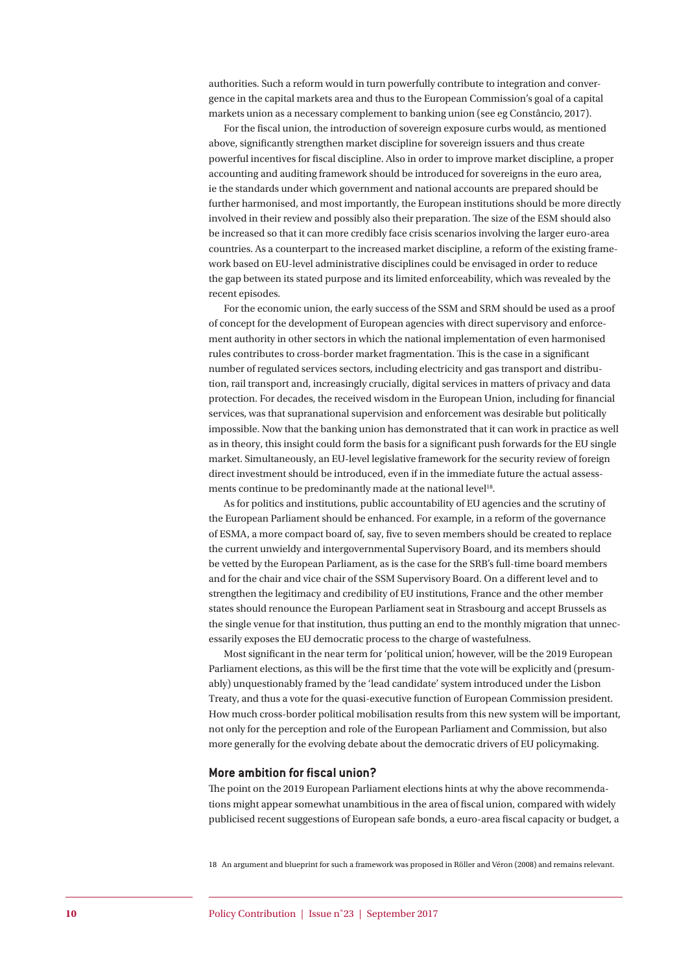authorities. Such a reform would in turn powerfully contribute to integration and convergence in the capital markets area and thus to the European Commission's goal of a capital markets union as a necessary complement to banking union (see eg Constâncio, 2017).

For the fiscal union, the introduction of sovereign exposure curbs would, as mentioned above, significantly strengthen market discipline for sovereign issuers and thus create powerful incentives for fiscal discipline. Also in order to improve market discipline, a proper accounting and auditing framework should be introduced for sovereigns in the euro area, ie the standards under which government and national accounts are prepared should be further harmonised, and most importantly, the European institutions should be more directly involved in their review and possibly also their preparation. The size of the ESM should also be increased so that it can more credibly face crisis scenarios involving the larger euro-area countries. As a counterpart to the increased market discipline, a reform of the existing framework based on EU-level administrative disciplines could be envisaged in order to reduce the gap between its stated purpose and its limited enforceability, which was revealed by the recent episodes.

For the economic union, the early success of the SSM and SRM should be used as a proof of concept for the development of European agencies with direct supervisory and enforcement authority in other sectors in which the national implementation of even harmonised rules contributes to cross-border market fragmentation. This is the case in a significant number of regulated services sectors, including electricity and gas transport and distribution, rail transport and, increasingly crucially, digital services in matters of privacy and data protection. For decades, the received wisdom in the European Union, including for financial services, was that supranational supervision and enforcement was desirable but politically impossible. Now that the banking union has demonstrated that it can work in practice as well as in theory, this insight could form the basis for a significant push forwards for the EU single market. Simultaneously, an EU-level legislative framework for the security review of foreign direct investment should be introduced, even if in the immediate future the actual assessments continue to be predominantly made at the national level<sup>18</sup>.

As for politics and institutions, public accountability of EU agencies and the scrutiny of the European Parliament should be enhanced. For example, in a reform of the governance of ESMA, a more compact board of, say, five to seven members should be created to replace the current unwieldy and intergovernmental Supervisory Board, and its members should be vetted by the European Parliament, as is the case for the SRB's full-time board members and for the chair and vice chair of the SSM Supervisory Board. On a different level and to strengthen the legitimacy and credibility of EU institutions, France and the other member states should renounce the European Parliament seat in Strasbourg and accept Brussels as the single venue for that institution, thus putting an end to the monthly migration that unnecessarily exposes the EU democratic process to the charge of wastefulness.

Most significant in the near term for 'political union', however, will be the 2019 European Parliament elections, as this will be the first time that the vote will be explicitly and (presumably) unquestionably framed by the 'lead candidate' system introduced under the Lisbon Treaty, and thus a vote for the quasi-executive function of European Commission president. How much cross-border political mobilisation results from this new system will be important, not only for the perception and role of the European Parliament and Commission, but also more generally for the evolving debate about the democratic drivers of EU policymaking.

#### **More ambition for fiscal union?**

The point on the 2019 European Parliament elections hints at why the above recommendations might appear somewhat unambitious in the area of fiscal union, compared with widely publicised recent suggestions of European safe bonds, a euro-area fiscal capacity or budget, a

18 An argument and blueprint for such a framework was proposed in Röller and Véron (2008) and remains relevant.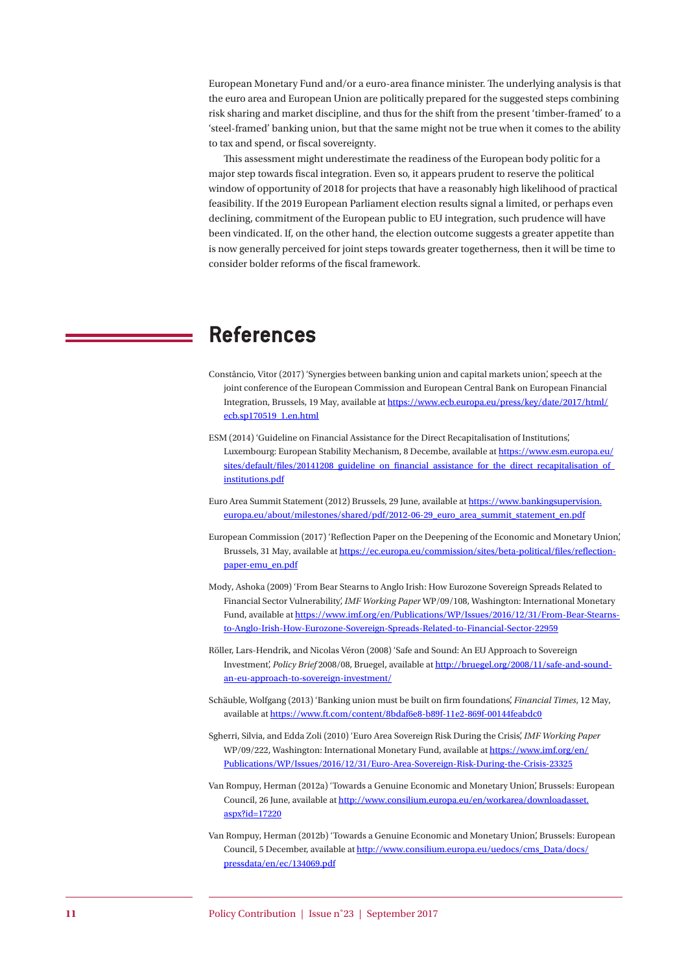European Monetary Fund and/or a euro-area finance minister. The underlying analysis is that the euro area and European Union are politically prepared for the suggested steps combining risk sharing and market discipline, and thus for the shift from the present 'timber-framed' to a 'steel-framed' banking union, but that the same might not be true when it comes to the ability to tax and spend, or fiscal sovereignty.

This assessment might underestimate the readiness of the European body politic for a major step towards fiscal integration. Even so, it appears prudent to reserve the political window of opportunity of 2018 for projects that have a reasonably high likelihood of practical feasibility. If the 2019 European Parliament election results signal a limited, or perhaps even declining, commitment of the European public to EU integration, such prudence will have been vindicated. If, on the other hand, the election outcome suggests a greater appetite than is now generally perceived for joint steps towards greater togetherness, then it will be time to consider bolder reforms of the fiscal framework.

### **References**

- Constâncio, Vitor (2017) 'Synergies between banking union and capital markets union', speech at the joint conference of the European Commission and European Central Bank on European Financial Integration, Brussels, 19 May, available at [https://www.ecb.europa.eu/press/key/date/2017/html/](https://www.ecb.europa.eu/press/key/date/2017/html/ecb.sp170519_1.en.html) [ecb.sp170519\\_1.en.html](https://www.ecb.europa.eu/press/key/date/2017/html/ecb.sp170519_1.en.html)
- ESM (2014) 'Guideline on Financial Assistance for the Direct Recapitalisation of Institutions', Luxembourg: European Stability Mechanism, 8 Decembe, available at [https://www.esm.europa.eu/](https://www.esm.europa.eu/sites/default/files/20141208_guideline_on_financial_assistance_for_the_direct_recapitalisation_of_institutions.pdf) sites/default/files/20141208\_guideline\_on\_financial\_assistance\_for\_the\_direct\_recapitalisation\_of [institutions.pdf](https://www.esm.europa.eu/sites/default/files/20141208_guideline_on_financial_assistance_for_the_direct_recapitalisation_of_institutions.pdf)
- Euro Area Summit Statement (2012) Brussels, 29 June, available at [https://www.bankingsupervision.](https://www.bankingsupervision.europa.eu/about/milestones/shared/pdf/2012-06-29_euro_area_summit_statement_en.pdf) [europa.eu/about/milestones/shared/pdf/2012-06-29\\_euro\\_area\\_summit\\_statement\\_en.pdf](https://www.bankingsupervision.europa.eu/about/milestones/shared/pdf/2012-06-29_euro_area_summit_statement_en.pdf)
- European Commission (2017) 'Reflection Paper on the Deepening of the Economic and Monetary Union', Brussels, 31 May, available at [https://ec.europa.eu/commission/sites/beta-political/files/reflection](https://ec.europa.eu/commission/sites/beta-political/files/reflection-paper-emu_en.pdf)[paper-emu\\_en.pdf](https://ec.europa.eu/commission/sites/beta-political/files/reflection-paper-emu_en.pdf)
- Mody, Ashoka (2009) 'From Bear Stearns to Anglo Irish: How Eurozone Sovereign Spreads Related to Financial Sector Vulnerability', *IMF Working Paper* WP/09/108, Washington: International Monetary Fund, available at [https://www.imf.org/en/Publications/WP/Issues/2016/12/31/From-Bear-Stearns](https://www.imf.org/en/Publications/WP/Issues/2016/12/31/From-Bear-Stearns-to-Anglo-Irish-How-Eurozone-Sovereign-Spreads-Related-to-Financial-Sector-22959)[to-Anglo-Irish-How-Eurozone-Sovereign-Spreads-Related-to-Financial-Sector-22959](https://www.imf.org/en/Publications/WP/Issues/2016/12/31/From-Bear-Stearns-to-Anglo-Irish-How-Eurozone-Sovereign-Spreads-Related-to-Financial-Sector-22959)
- Röller, Lars-Hendrik, and Nicolas Véron (2008) 'Safe and Sound: An EU Approach to Sovereign Investment', *Policy Brief* 2008/08, Bruegel, available at [http://bruegel.org/2008/11/safe-and-sound](http://bruegel.org/2008/11/safe-and-sound-an-eu-approach-to-sovereign-investment/)[an-eu-approach-to-sovereign-investment/](http://bruegel.org/2008/11/safe-and-sound-an-eu-approach-to-sovereign-investment/)
- Schäuble, Wolfgang (2013) 'Banking union must be built on firm foundations', *Financial Times*, 12 May, available at <https://www.ft.com/content/8bdaf6e8-b89f-11e2-869f-00144feabdc0>
- Sgherri, Silvia, and Edda Zoli (2010) 'Euro Area Sovereign Risk During the Crisis', *IMF Working Paper*  WP/09/222, Washington: International Monetary Fund, available at [https://www.imf.org/en/](https://www.imf.org/en/Publications/WP/Issues/2016/12/31/Euro-Area-Sovereign-Risk-During-the-Crisis-23325) [Publications/WP/Issues/2016/12/31/Euro-Area-Sovereign-Risk-During-the-Crisis-23325](https://www.imf.org/en/Publications/WP/Issues/2016/12/31/Euro-Area-Sovereign-Risk-During-the-Crisis-23325)
- Van Rompuy, Herman (2012a) 'Towards a Genuine Economic and Monetary Union', Brussels: European Council, 26 June, available at [http://www.consilium.europa.eu/en/workarea/downloadasset.](http://www.consilium.europa.eu/en/workarea/downloadasset.aspx?id=17220) [aspx?id=17220](http://www.consilium.europa.eu/en/workarea/downloadasset.aspx?id=17220)
- Van Rompuy, Herman (2012b) 'Towards a Genuine Economic and Monetary Union', Brussels: European Council, 5 December, available at [http://www.consilium.europa.eu/uedocs/cms\\_Data/docs/](http://www.consilium.europa.eu/uedocs/cms_Data/docs/pressdata/en/ec/134069.pdf) [pressdata/en/ec/134069.pdf](http://www.consilium.europa.eu/uedocs/cms_Data/docs/pressdata/en/ec/134069.pdf)